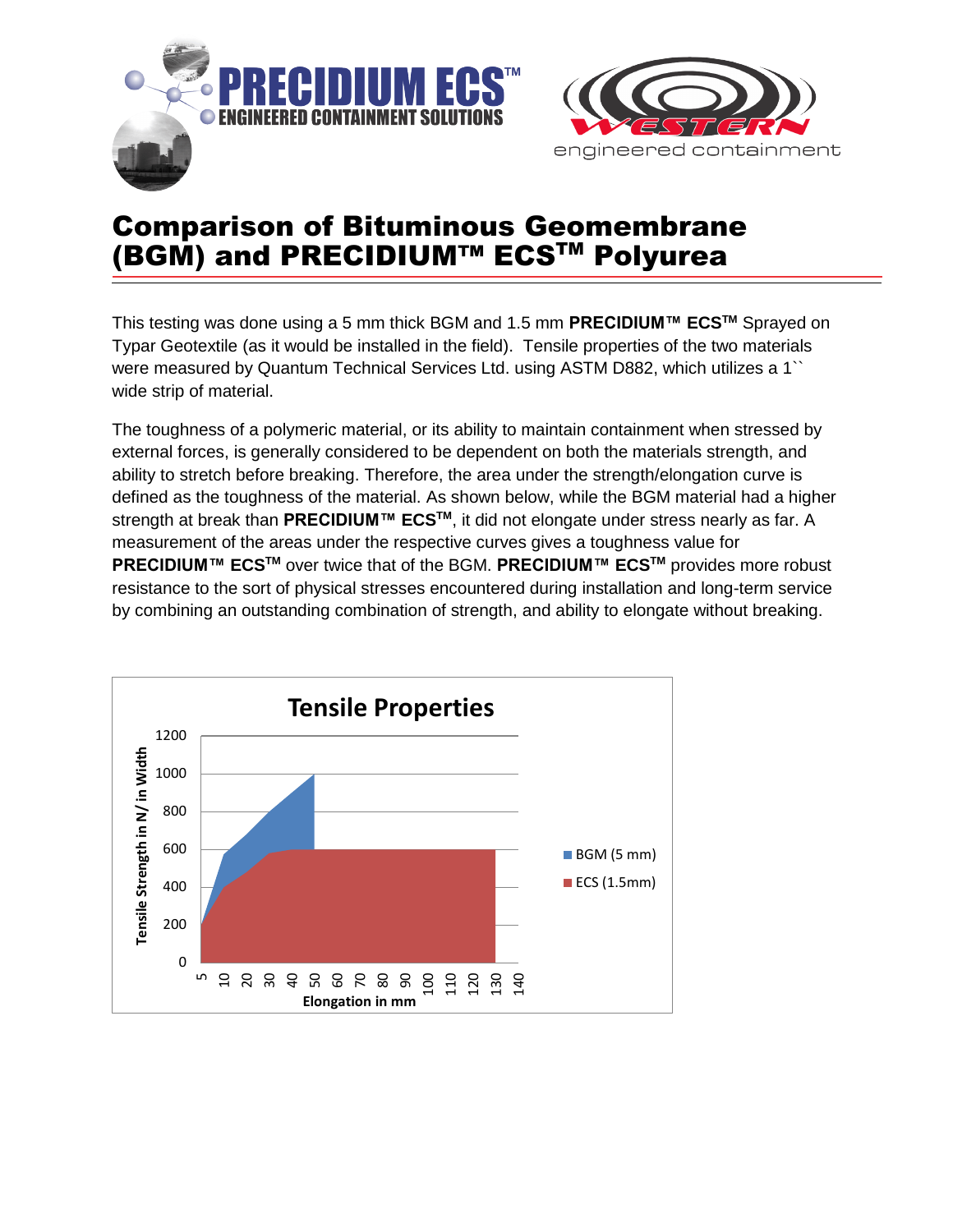



## Comparison of Bituminous Geomembrane (BGM) and PRECIDIUM™ ECS™ Polyurea

This testing was done using a 5 mm thick BGM and 1.5 mm **PRECIDIUM™ ECSTM** Sprayed on Typar Geotextile (as it would be installed in the field). Tensile properties of the two materials were measured by Quantum Technical Services Ltd. using ASTM D882, which utilizes a 1`` wide strip of material.

The toughness of a polymeric material, or its ability to maintain containment when stressed by external forces, is generally considered to be dependent on both the materials strength, and ability to stretch before breaking. Therefore, the area under the strength/elongation curve is defined as the toughness of the material. As shown below, while the BGM material had a higher strength at break than **PRECIDIUM™ ECSTM**, it did not elongate under stress nearly as far. A measurement of the areas under the respective curves gives a toughness value for **PRECIDIUM™ ECSTM** over twice that of the BGM. **PRECIDIUM™ ECSTM** provides more robust resistance to the sort of physical stresses encountered during installation and long-term service by combining an outstanding combination of strength, and ability to elongate without breaking.